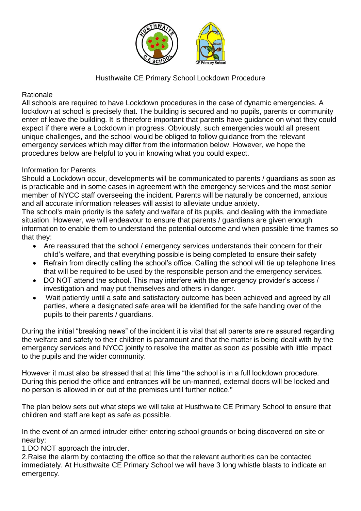

## Husthwaite CE Primary School Lockdown Procedure

## Rationale

All schools are required to have Lockdown procedures in the case of dynamic emergencies. A lockdown at school is precisely that. The building is secured and no pupils, parents or community enter of leave the building. It is therefore important that parents have guidance on what they could expect if there were a Lockdown in progress. Obviously, such emergencies would all present unique challenges, and the school would be obliged to follow guidance from the relevant emergency services which may differ from the information below. However, we hope the procedures below are helpful to you in knowing what you could expect.

## Information for Parents

Should a Lockdown occur, developments will be communicated to parents / guardians as soon as is practicable and in some cases in agreement with the emergency services and the most senior member of NYCC staff overseeing the incident. Parents will be naturally be concerned, anxious and all accurate information releases will assist to alleviate undue anxiety.

The school's main priority is the safety and welfare of its pupils, and dealing with the immediate situation. However, we will endeavour to ensure that parents / guardians are given enough information to enable them to understand the potential outcome and when possible time frames so that they:

- Are reassured that the school / emergency services understands their concern for their child's welfare, and that everything possible is being completed to ensure their safety
- Refrain from directly calling the school's office. Calling the school will tie up telephone lines that will be required to be used by the responsible person and the emergency services.
- DO NOT attend the school. This may interfere with the emergency provider's access / investigation and may put themselves and others in danger.
- Wait patiently until a safe and satisfactory outcome has been achieved and agreed by all parties, where a designated safe area will be identified for the safe handing over of the pupils to their parents / guardians.

During the initial "breaking news" of the incident it is vital that all parents are re assured regarding the welfare and safety to their children is paramount and that the matter is being dealt with by the emergency services and NYCC jointly to resolve the matter as soon as possible with little impact to the pupils and the wider community.

However it must also be stressed that at this time "the school is in a full lockdown procedure. During this period the office and entrances will be un-manned, external doors will be locked and no person is allowed in or out of the premises until further notice."

The plan below sets out what steps we will take at Husthwaite CE Primary School to ensure that children and staff are kept as safe as possible.

In the event of an armed intruder either entering school grounds or being discovered on site or nearby:

1.DO NOT approach the intruder.

2.Raise the alarm by contacting the office so that the relevant authorities can be contacted immediately. At Husthwaite CE Primary School we will have 3 long whistle blasts to indicate an emergency.